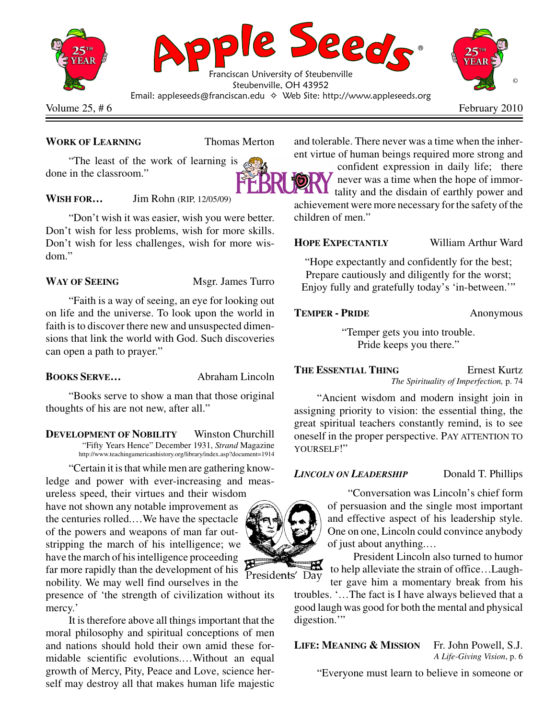

## **WORK OF LEARNING** Thomas Merton

"The least of the work of learning is done in the classroom."

## **WISH FOR…** Jim Rohn (RIP, 12/05/09)

"Don't wish it was easier, wish you were better. Don't wish for less problems, wish for more skills. Don't wish for less challenges, wish for more wisdom."

WAY OF SEEING Msgr. James Turro

"Faith is a way of seeing, an eye for looking out on life and the universe. To look upon the world in faith is to discover there new and unsuspected dimensions that link the world with God. Such discoveries can open a path to prayer."

### **BOOKS SERVE…** Abraham Lincoln

"Books serve to show a man that those original thoughts of his are not new, after all."

**DEVELOPMENT OF NOBILITY** Winston Churchill "Fifty Years Hence" December 1931, *Strand* Magazine http://www.teachingamericanhistory.org/library/index.asp?document=1914

"Certain it is that while men are gathering knowledge and power with ever-increasing and meas-

ureless speed, their virtues and their wisdom have not shown any notable improvement as the centuries rolled.…We have the spectacle of the powers and weapons of man far outstripping the march of his intelligence; we have the march of his intelligence proceeding far more rapidly than the development of his nobility. We may well find ourselves in the

presence of 'the strength of civilization without its mercy.'

It is therefore above all things important that the moral philosophy and spiritual conceptions of men and nations should hold their own amid these formidable scientific evolutions.…Without an equal growth of Mercy, Pity, Peace and Love, science herself may destroy all that makes human life majestic and tolerable. There never was a time when the inherent virtue of human beings required more strong and

confident expression in daily life; there never was a time when the hope of immor-**L** tality and the disdain of earthly power and achievement were more necessary for the safety of the children of men."

## **HOPE EXPECTANTLY** William Arthur Ward

"Hope expectantly and confidently for the best; Prepare cautiously and diligently for the worst; Enjoy fully and gratefully today's 'in-between.'"

### **TEMPER - PRIDE** Anonymous

"Temper gets you into trouble. Pride keeps you there."

**THE ESSENTIAL THING** Ernest Kurtz *The Spirituality of Imperfection,* p. 74

"Ancient wisdom and modern insight join in assigning priority to vision: the essential thing, the great spiritual teachers constantly remind, is to see oneself in the proper perspective. PAY ATTENTION TO YOURSELF!"

# *LINCOLN ON LEADERSHIP* Donald T. Phillips

"Conversation was Lincoln's chief form of persuasion and the single most important and effective aspect of his leadership style. One on one, Lincoln could convince anybody of just about anything.…

President Lincoln also turned to humor to help alleviate the strain of office…Laughter gave him a momentary break from his

troubles. '…The fact is I have always believed that a good laugh was good for both the mental and physical digestion."

# **LIFE: MEANING & MISSION** Fr. John Powell, S.J.

*A Life-Giving Vision*, p. 6

"Everyone must learn to believe in someone or